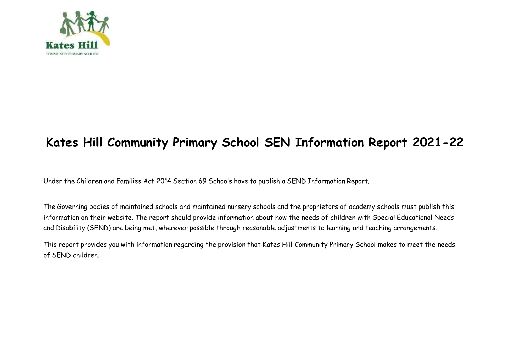

## **Kates Hill Community Primary School SEN Information Report 2021-22**

Under the Children and Families Act 2014 Section 69 Schools have to publish a SEND Information Report.

The Governing bodies of maintained schools and maintained nursery schools and the proprietors of academy schools must publish this information on their website. The report should provide information about how the needs of children with Special Educational Needs and Disability (SEND) are being met, wherever possible through reasonable adjustments to learning and teaching arrangements.

This report provides you with information regarding the provision that Kates Hill Community Primary School makes to meet the needs of SEND children.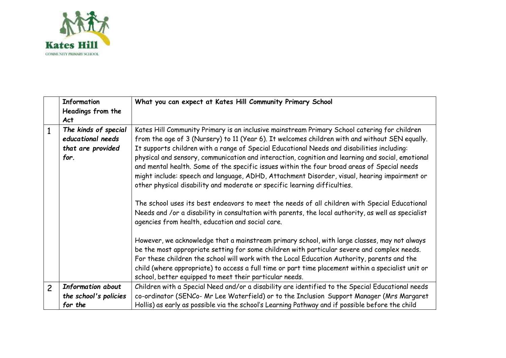

|                | <b>Information</b>       | What you can expect at Kates Hill Community Primary School                                                                                                                                                                                                                                                                                                                                                                                                  |
|----------------|--------------------------|-------------------------------------------------------------------------------------------------------------------------------------------------------------------------------------------------------------------------------------------------------------------------------------------------------------------------------------------------------------------------------------------------------------------------------------------------------------|
|                | Headings from the        |                                                                                                                                                                                                                                                                                                                                                                                                                                                             |
|                | <b>Act</b>               |                                                                                                                                                                                                                                                                                                                                                                                                                                                             |
| $\mathbf{1}$   | The kinds of special     | Kates Hill Community Primary is an inclusive mainstream Primary School catering for children                                                                                                                                                                                                                                                                                                                                                                |
|                | educational needs        | from the age of 3 (Nursery) to 11 (Year 6). It welcomes children with and without SEN equally.                                                                                                                                                                                                                                                                                                                                                              |
|                | that are provided        | It supports children with a range of Special Educational Needs and disabilities including:                                                                                                                                                                                                                                                                                                                                                                  |
|                | for.                     | physical and sensory, communication and interaction, cognition and learning and social, emotional<br>and mental health. Some of the specific issues within the four broad areas of Special needs<br>might include: speech and language, ADHD, Attachment Disorder, visual, hearing impairment or<br>other physical disability and moderate or specific learning difficulties.                                                                               |
|                |                          | The school uses its best endeavors to meet the needs of all children with Special Educational<br>Needs and /or a disability in consultation with parents, the local authority, as well as specialist<br>agencies from health, education and social care.                                                                                                                                                                                                    |
|                |                          | However, we acknowledge that a mainstream primary school, with large classes, may not always<br>be the most appropriate setting for some children with particular severe and complex needs.<br>For these children the school will work with the Local Education Authority, parents and the<br>child (where appropriate) to access a full time or part time placement within a specialist unit or<br>school, better equipped to meet their particular needs. |
| $\overline{c}$ | <b>Information about</b> | Children with a Special Need and/or a disability are identified to the Special Educational needs                                                                                                                                                                                                                                                                                                                                                            |
|                | the school's policies    | co-ordinator (SENCo- Mr Lee Waterfield) or to the Inclusion Support Manager (Mrs Margaret                                                                                                                                                                                                                                                                                                                                                                   |
|                | for the                  | Hollis) as early as possible via the school's Learning Pathway and if possible before the child                                                                                                                                                                                                                                                                                                                                                             |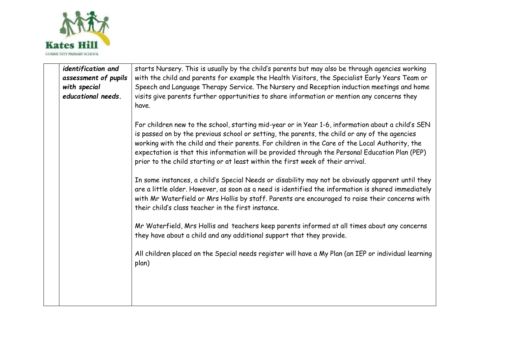

| identification and<br>assessment of pupils<br>with special<br>educational needs. | starts Nursery. This is usually by the child's parents but may also be through agencies working<br>with the child and parents for example the Health Visitors, the Specialist Early Years Team or<br>Speech and Language Therapy Service. The Nursery and Reception induction meetings and home<br>visits give parents further opportunities to share information or mention any concerns they<br>have.                                                                                    |
|----------------------------------------------------------------------------------|--------------------------------------------------------------------------------------------------------------------------------------------------------------------------------------------------------------------------------------------------------------------------------------------------------------------------------------------------------------------------------------------------------------------------------------------------------------------------------------------|
|                                                                                  | For children new to the school, starting mid-year or in Year 1-6, information about a child's SEN<br>is passed on by the previous school or setting, the parents, the child or any of the agencies<br>working with the child and their parents. For children in the Care of the Local Authority, the<br>expectation is that this information will be provided through the Personal Education Plan (PEP)<br>prior to the child starting or at least within the first week of their arrival. |
|                                                                                  | In some instances, a child's Special Needs or disability may not be obviously apparent until they<br>are a little older. However, as soon as a need is identified the information is shared immediately<br>with Mr Waterfield or Mrs Hollis by staff. Parents are encouraged to raise their concerns with<br>their child's class teacher in the first instance.                                                                                                                            |
|                                                                                  | Mr Waterfield, Mrs Hollis and teachers keep parents informed at all times about any concerns<br>they have about a child and any additional support that they provide.                                                                                                                                                                                                                                                                                                                      |
|                                                                                  | All children placed on the Special needs register will have a My Plan (an IEP or individual learning<br>plan)                                                                                                                                                                                                                                                                                                                                                                              |
|                                                                                  |                                                                                                                                                                                                                                                                                                                                                                                                                                                                                            |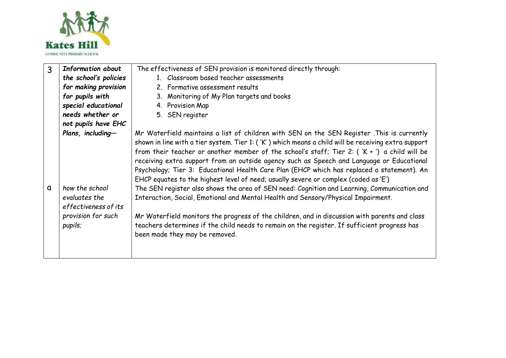

| 3 | <b>Information about</b> | The effectiveness of SEN provision is monitored directly through:                                   |
|---|--------------------------|-----------------------------------------------------------------------------------------------------|
|   | the school's policies    | 1. Classroom based teacher assessments                                                              |
|   | for making provision     | 2. Formative assessment results                                                                     |
|   | for pupils with          | 3. Monitoring of My Plan targets and books                                                          |
|   | special educational      | 4. Provision Map                                                                                    |
|   | needs whether or         | 5. SEN register                                                                                     |
|   | not pupils have EHC      |                                                                                                     |
|   | Plans, including-        | Mr Waterfield maintains a list of children with SEN on the SEN Register . This is currently         |
|   |                          | shown in line with a tier system. Tier 1: ('K') which means a child will be receiving extra support |
|   |                          | from their teacher or another member of the school's staff; Tier 2: $(X + Y)$ a child will be       |
|   |                          | receiving extra support from an outside agency such as Speech and Language or Educational           |
|   |                          | Psychology; Tier 3: Educational Health Care Plan (EHCP which has replaced a statement). An          |
|   |                          | EHCP equates to the highest level of need; usually severe or complex (coded as 'E')                 |
| a | how the school           | The SEN register also shows the area of SEN need: Cognition and Learning, Communication and         |
|   | evaluates the            | Interaction, Social, Emotional and Mental Health and Sensory/Physical Impairment.                   |
|   | effectiveness of its     |                                                                                                     |
|   | provision for such       | Mr Waterfield monitors the progress of the children, and in discussion with parents and class       |
|   | pupils;                  | teachers determines if the child needs to remain on the register. If sufficient progress has        |
|   |                          | been made they may be removed.                                                                      |
|   |                          |                                                                                                     |
|   |                          |                                                                                                     |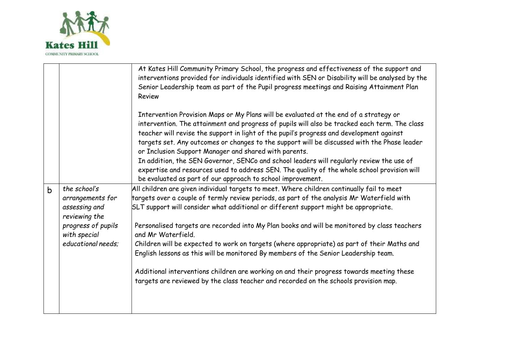

|             |                                                                    | At Kates Hill Community Primary School, the progress and effectiveness of the support and<br>interventions provided for individuals identified with SEN or Disability will be analysed by the<br>Senior Leadership team as part of the Pupil progress meetings and Raising Attainment Plan<br>Review                                                                              |
|-------------|--------------------------------------------------------------------|-----------------------------------------------------------------------------------------------------------------------------------------------------------------------------------------------------------------------------------------------------------------------------------------------------------------------------------------------------------------------------------|
|             |                                                                    | Intervention Provision Maps or My Plans will be evaluated at the end of a strategy or<br>intervention. The attainment and progress of pupils will also be tracked each term. The class<br>teacher will revise the support in light of the pupil's progress and development against<br>targets set. Any outcomes or changes to the support will be discussed with the Phase leader |
|             |                                                                    | or Inclusion Support Manager and shared with parents.                                                                                                                                                                                                                                                                                                                             |
|             |                                                                    | In addition, the SEN Governor, SENCo and school leaders will regularly review the use of<br>expertise and resources used to address SEN. The quality of the whole school provision will<br>be evaluated as part of our approach to school improvement.                                                                                                                            |
| $\mathsf b$ | the school's<br>arrangements for<br>assessing and<br>reviewing the | All children are given individual targets to meet. Where children continually fail to meet<br>targets over a couple of termly review periods, as part of the analysis Mr Waterfield with<br>$SLT$ support will consider what additional or different support might be appropriate.                                                                                                |
|             | progress of pupils<br>with special                                 | Personalised targets are recorded into My Plan books and will be monitored by class teachers<br>and Mr Waterfield.                                                                                                                                                                                                                                                                |
|             | educational needs:                                                 | Children will be expected to work on targets (where appropriate) as part of their Maths and<br>English lessons as this will be monitored By members of the Senior Leadership team.                                                                                                                                                                                                |
|             |                                                                    | Additional interventions children are working on and their progress towards meeting these<br>targets are reviewed by the class teacher and recorded on the schools provision map.                                                                                                                                                                                                 |
|             |                                                                    |                                                                                                                                                                                                                                                                                                                                                                                   |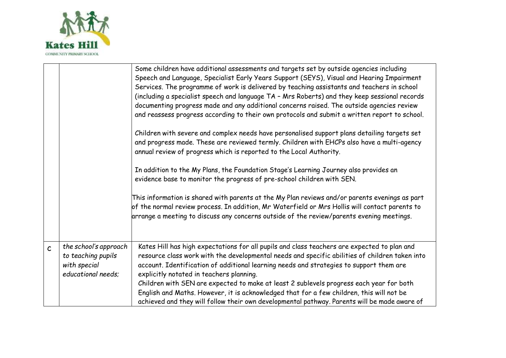

|              |                                                                                   | Some children have additional assessments and targets set by outside agencies including<br>Speech and Language, Specialist Early Years Support (SEYS), Visual and Hearing Impairment<br>Services. The programme of work is delivered by teaching assistants and teachers in school<br>(including a specialist speech and language TA - Mrs Roberts) and they keep sessional records<br>documenting progress made and any additional concerns raised. The outside agencies review<br>and reassess progress according to their own protocols and submit a written report to school.<br>Children with severe and complex needs have personalised support plans detailing targets set<br>and progress made. These are reviewed termly. Children with EHCPs also have a multi-agency<br>annual review of progress which is reported to the Local Authority.<br>In addition to the My Plans, the Foundation Stage's Learning Journey also provides an<br>evidence base to monitor the progress of pre-school children with SEN.<br>This information is shared with parents at the My Plan reviews and/or parents evenings as part<br>of the normal review process. In addition, Mr Waterfield or Mrs Hollis will contact parents to<br>arrange a meeting to discuss any concerns outside of the review/parents evening meetings. |
|--------------|-----------------------------------------------------------------------------------|----------------------------------------------------------------------------------------------------------------------------------------------------------------------------------------------------------------------------------------------------------------------------------------------------------------------------------------------------------------------------------------------------------------------------------------------------------------------------------------------------------------------------------------------------------------------------------------------------------------------------------------------------------------------------------------------------------------------------------------------------------------------------------------------------------------------------------------------------------------------------------------------------------------------------------------------------------------------------------------------------------------------------------------------------------------------------------------------------------------------------------------------------------------------------------------------------------------------------------------------------------------------------------------------------------------------------|
| $\mathsf{C}$ | the school's approach<br>to teaching pupils<br>with special<br>educational needs: | Kates Hill has high expectations for all pupils and class teachers are expected to plan and<br>resource class work with the developmental needs and specific abilities of children taken into<br>account. Identification of additional learning needs and strategies to support them are<br>explicitly notated in teachers planning.<br>Children with SEN are expected to make at least 2 sublevels progress each year for both<br>English and Maths. However, it is acknowledged that for a few children, this will not be<br>achieved and they will follow their own developmental pathway. Parents will be made aware of                                                                                                                                                                                                                                                                                                                                                                                                                                                                                                                                                                                                                                                                                                |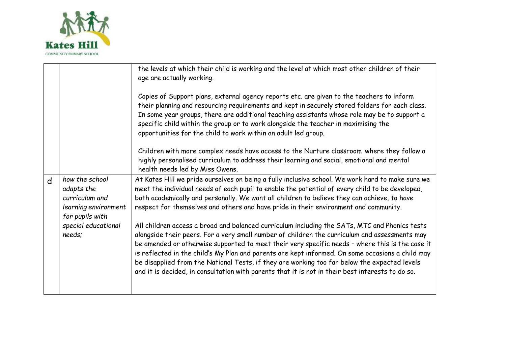

|   |                                                                                           | the levels at which their child is working and the level at which most other children of their<br>age are actually working.                                                                                                                                                                                                                                                                                                                                                                                                                                                                               |
|---|-------------------------------------------------------------------------------------------|-----------------------------------------------------------------------------------------------------------------------------------------------------------------------------------------------------------------------------------------------------------------------------------------------------------------------------------------------------------------------------------------------------------------------------------------------------------------------------------------------------------------------------------------------------------------------------------------------------------|
|   |                                                                                           | Copies of Support plans, external agency reports etc. are given to the teachers to inform<br>their planning and resourcing requirements and kept in securely stored folders for each class.<br>In some year groups, there are additional teaching assistants whose role may be to support a<br>specific child within the group or to work alongside the teacher in maximising the<br>opportunities for the child to work within an adult led group.                                                                                                                                                       |
|   |                                                                                           | Children with more complex needs have access to the Nurture classroom where they follow a<br>highly personalised curriculum to address their learning and social, emotional and mental<br>health needs led by Miss Owens.                                                                                                                                                                                                                                                                                                                                                                                 |
| d | how the school<br>adapts the<br>curriculum and<br>learning environment<br>for pupils with | At Kates Hill we pride ourselves on being a fully inclusive school. We work hard to make sure we<br>meet the individual needs of each pupil to enable the potential of every child to be developed,<br>both academically and personally. We want all children to believe they can achieve, to have<br>respect for themselves and others and have pride in their environment and community.                                                                                                                                                                                                                |
|   | special educational<br>needs:                                                             | All children access a broad and balanced curriculum including the SATs, MTC and Phonics tests<br>alongside their peers. For a very small number of children the curriculum and assessments may<br>be amended or otherwise supported to meet their very specific needs - where this is the case it<br>is reflected in the child's My Plan and parents are kept informed. On some occasions a child may<br>be disapplied from the National Tests, if they are working too far below the expected levels<br>and it is decided, in consultation with parents that it is not in their best interests to do so. |
|   |                                                                                           |                                                                                                                                                                                                                                                                                                                                                                                                                                                                                                                                                                                                           |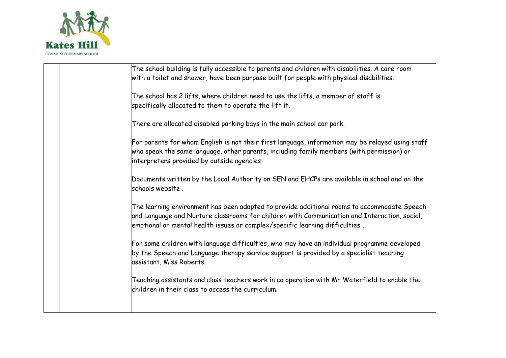

| The school building is fully accessible to parents and children with disabilities. A care room<br>with a toilet and shower, have been purpose built for people with physical disabilities.                                                                                   |
|------------------------------------------------------------------------------------------------------------------------------------------------------------------------------------------------------------------------------------------------------------------------------|
| The school has 2 lifts, where children need to use the lifts, a member of staff is<br>specifically allocated to them to operate the lift it.                                                                                                                                 |
| There are allocated disabled parking bays in the main school car park.                                                                                                                                                                                                       |
| For parents for whom English is not their first language, information may be relayed using staff<br>who speak the same language, other parents, including family members (with permission) or<br>interpreters provided by outside agencies.                                  |
| Documents written by the Local Authority on SEN and EHCPs are available in school and on the<br>schools website.                                                                                                                                                             |
| The learning environment has been adapted to provide additional rooms to accommodate Speech<br>and Language and Nurture classrooms for children with Communication and Interaction, social,<br>emotional or mental health issues or complex/specific learning difficulties . |
| For some children with language difficulties, who may have an individual programme developed<br>by the Speech and Language therapy service support is provided by a specialist teaching<br>assistant, Miss Roberts.                                                          |
| Teaching assistants and class teachers work in co operation with Mr Waterfield to enable the<br>children in their class to access the curriculum.                                                                                                                            |
|                                                                                                                                                                                                                                                                              |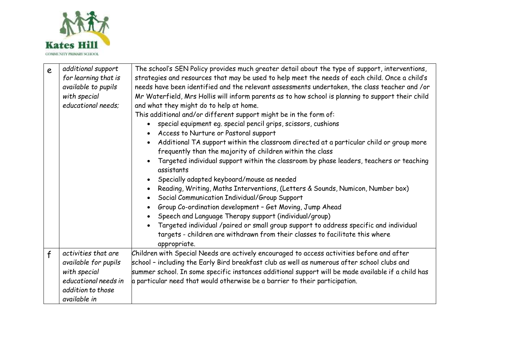

| e | additional support<br>for learning that is<br>available to pupils<br>with special<br>educational needs;                  | The school's SEN Policy provides much greater detail about the type of support, interventions,<br>strategies and resources that may be used to help meet the needs of each child. Once a child's<br>needs have been identified and the relevant assessments undertaken, the class teacher and /or<br>Mr Waterfield, Mrs Hollis will inform parents as to how school is planning to support their child<br>and what they might do to help at home.<br>This additional and/or different support might be in the form of:<br>special equipment eg. special pencil grips, scissors, cushions<br>Access to Nurture or Pastoral support<br>Additional TA support within the classroom directed at a particular child or group more<br>frequently than the majority of children within the class<br>Targeted individual support within the classroom by phase leaders, teachers or teaching<br>assistants<br>Specially adapted keyboard/mouse as needed<br>Reading, Writing, Maths Interventions, (Letters & Sounds, Numicon, Number box)<br>Social Communication Individual/Group Support<br>Group Co-ordination development - Get Moving, Jump Ahead<br>Speech and Language Therapy support (individual/group)<br>Targeted individual /paired or small group support to address specific and individual<br>targets - children are withdrawn from their classes to facilitate this where<br>appropriate. |
|---|--------------------------------------------------------------------------------------------------------------------------|----------------------------------------------------------------------------------------------------------------------------------------------------------------------------------------------------------------------------------------------------------------------------------------------------------------------------------------------------------------------------------------------------------------------------------------------------------------------------------------------------------------------------------------------------------------------------------------------------------------------------------------------------------------------------------------------------------------------------------------------------------------------------------------------------------------------------------------------------------------------------------------------------------------------------------------------------------------------------------------------------------------------------------------------------------------------------------------------------------------------------------------------------------------------------------------------------------------------------------------------------------------------------------------------------------------------------------------------------------------------------------------------------|
| f | activities that are<br>available for pupils<br>with special<br>educational needs in<br>addition to those<br>available in | Children with Special Needs are actively encouraged to access activities before and after<br>school - including the Early Bird breakfast club as well as numerous after school clubs and<br>summer school. In some specific instances additional support will be made available if a child has<br>$\alpha$ particular need that would otherwise be a barrier to their participation.                                                                                                                                                                                                                                                                                                                                                                                                                                                                                                                                                                                                                                                                                                                                                                                                                                                                                                                                                                                                               |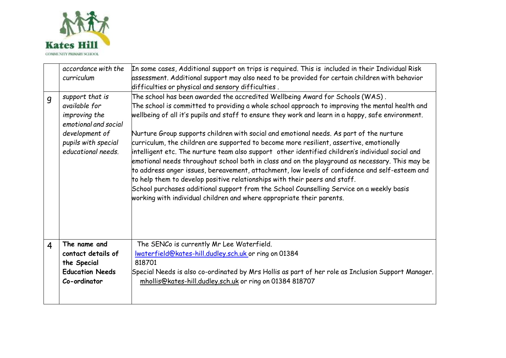

|                | accordance with the<br>curriculum                                                                                                        | In some cases, Additional support on trips is required. This is included in their Individual Risk<br>assessment. Additional support may also need to be provided for certain children with behavior<br>difficulties or physical and sensory difficulties .                                                                                                                                                                                                                                                                                                                                                                                                                                                                                                                                                                                                                                                                                                                                                                                 |
|----------------|------------------------------------------------------------------------------------------------------------------------------------------|--------------------------------------------------------------------------------------------------------------------------------------------------------------------------------------------------------------------------------------------------------------------------------------------------------------------------------------------------------------------------------------------------------------------------------------------------------------------------------------------------------------------------------------------------------------------------------------------------------------------------------------------------------------------------------------------------------------------------------------------------------------------------------------------------------------------------------------------------------------------------------------------------------------------------------------------------------------------------------------------------------------------------------------------|
| $\overline{g}$ | support that is<br>available for<br>improving the<br>emotional and social<br>development of<br>pupils with special<br>educational needs. | The school has been awarded the accredited Wellbeing Award for Schools (WAS).<br>The school is committed to providing a whole school approach to improving the mental health and<br>wellbeing of all it's pupils and staff to ensure they work and learn in a happy, safe environment.<br>Nurture Group supports children with social and emotional needs. As part of the nurture<br>curriculum, the children are supported to become more resilient, assertive, emotionally<br>intelligent etc. The nurture team also support  other identified children's individual social and<br>emotional needs throughout school both in class and on the playground as necessary. This may be<br>to address anger issues, bereavement, attachment, low levels of confidence and self-esteem and<br>to help them to develop positive relationships with their peers and staff.<br>School purchases additional support from the School Counselling Service on a weekly basis<br>working with individual children and where appropriate their parents. |
| 4              | The name and<br>contact details of<br>the Special<br><b>Education Needs</b><br>Co-ordinator                                              | The SENCo is currently Mr Lee Waterfield.<br>Iwaterfield@kates-hill.dudley.sch.uk or ring on 01384<br>818701<br>Special Needs is also co-ordinated by Mrs Hollis as part of her role as Inclusion Support Manager.<br>mhollis@kates-hill.dudley.sch.uk or ring on 01384 818707                                                                                                                                                                                                                                                                                                                                                                                                                                                                                                                                                                                                                                                                                                                                                             |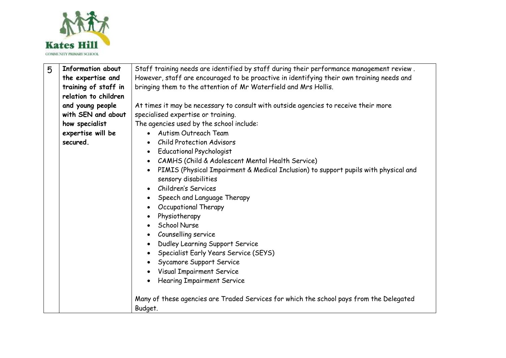

| 5 | <b>Information about</b> | Staff training needs are identified by staff during their performance management review.         |
|---|--------------------------|--------------------------------------------------------------------------------------------------|
|   | the expertise and        | However, staff are encouraged to be proactive in identifying their own training needs and        |
|   | training of staff in     | bringing them to the attention of Mr Waterfield and Mrs Hollis.                                  |
|   | relation to children     |                                                                                                  |
|   | and young people         | At times it may be necessary to consult with outside agencies to receive their more              |
|   | with SEN and about       | specialised expertise or training.                                                               |
|   | how specialist           | The agencies used by the school include:                                                         |
|   | expertise will be        | • Autism Outreach Team                                                                           |
|   | secured.                 | <b>Child Protection Advisors</b>                                                                 |
|   |                          | <b>Educational Psychologist</b><br>٠                                                             |
|   |                          | CAMHS (Child & Adolescent Mental Health Service)<br>$\bullet$                                    |
|   |                          | PIMIS (Physical Impairment & Medical Inclusion) to support pupils with physical and<br>$\bullet$ |
|   |                          | sensory disabilities                                                                             |
|   |                          | Children's Services<br>$\bullet$                                                                 |
|   |                          | Speech and Language Therapy<br>٠                                                                 |
|   |                          | Occupational Therapy                                                                             |
|   |                          | Physiotherapy                                                                                    |
|   |                          | <b>School Nurse</b><br>$\bullet$                                                                 |
|   |                          | Counselling service                                                                              |
|   |                          | Dudley Learning Support Service<br>$\bullet$                                                     |
|   |                          | Specialist Early Years Service (SEYS)<br>$\bullet$                                               |
|   |                          | Sycamore Support Service<br>$\bullet$                                                            |
|   |                          | <b>Visual Impairment Service</b><br>$\bullet$                                                    |
|   |                          | <b>Hearing Impairment Service</b><br>$\bullet$                                                   |
|   |                          |                                                                                                  |
|   |                          | Many of these agencies are Traded Services for which the school pays from the Delegated          |
|   |                          | Budget.                                                                                          |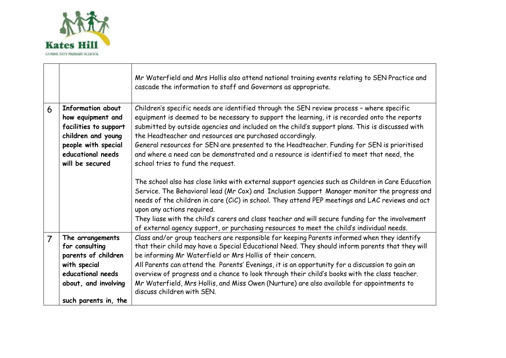

|                |                                                                                                                                                      | Mr Waterfield and Mrs Hollis also attend national training events relating to SEN Practice and<br>cascade the information to staff and Governors as appropriate.                                                                                                                                                                                                                                                                                                                                                                                                                           |
|----------------|------------------------------------------------------------------------------------------------------------------------------------------------------|--------------------------------------------------------------------------------------------------------------------------------------------------------------------------------------------------------------------------------------------------------------------------------------------------------------------------------------------------------------------------------------------------------------------------------------------------------------------------------------------------------------------------------------------------------------------------------------------|
| 6              | Information about<br>how equipment and<br>facilities to support<br>children and young<br>people with special<br>educational needs<br>will be secured | Children's specific needs are identified through the SEN review process - where specific<br>equipment is deemed to be necessary to support the learning, it is recorded onto the reports<br>submitted by outside agencies and included on the child's support plans. This is discussed with<br>the Headteacher and resources are purchased accordingly.<br>General resources for SEN are presented to the Headteacher. Funding for SEN is prioritised<br>and where a need can be demonstrated and a resource is identified to meet that need, the<br>school tries to fund the request.     |
|                |                                                                                                                                                      | The school also has close links with external support agencies such as Children in Care Education<br>Service. The Behavioral lead (Mr Cox) and Inclusion Support Manager monitor the progress and<br>needs of the children in care (CiC) in school. They attend PEP meetings and LAC reviews and act<br>upon any actions required.<br>They liase with the child's carers and class teacher and will secure funding for the involvement<br>of external agency support, or purchasing resources to meet the child's individual needs.                                                        |
| $\overline{7}$ | The arrangements<br>for consulting<br>parents of children<br>with special<br>educational needs<br>about, and involving<br>such parents in, the       | Class and/or group teachers are responsible for keeping Parents informed when they identify<br>that their child may have a Special Educational Need. They should inform parents that they will<br>be informing Mr Waterfield or Mrs Hollis of their concern.<br>All Parents can attend the Parents' Evenings, it is an opportunity for a discussion to gain an<br>overview of progress and a chance to look through their child's books with the class teacher.<br>Mr Waterfield, Mrs Hollis, and Miss Owen (Nurture) are also available for appointments to<br>discuss children with SEN. |

 $\overline{\phantom{a}}$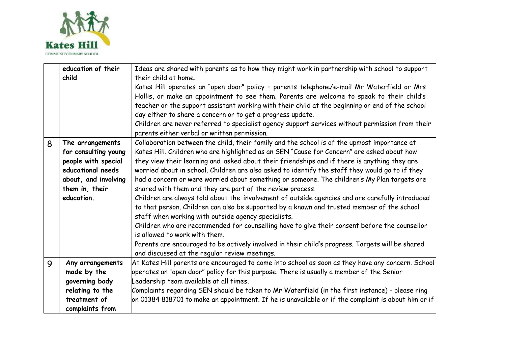

|   | education of their   | Ideas are shared with parents as to how they might work in partnership with school to support              |
|---|----------------------|------------------------------------------------------------------------------------------------------------|
|   | child                | their child at home.                                                                                       |
|   |                      | Kates Hill operates an "open door" policy - parents telephone/e-mail Mr Waterfield or Mrs                  |
|   |                      | Hollis, or make an appointment to see them. Parents are welcome to speak to their child's                  |
|   |                      | teacher or the support assistant working with their child at the beginning or end of the school            |
|   |                      |                                                                                                            |
|   |                      | day either to share a concern or to get a progress update.                                                 |
|   |                      | Children are never referred to specialist agency support services without permission from their            |
|   |                      | parents either verbal or written permission.                                                               |
| 8 | The arrangements     | Collaboration between the child, their family and the school is of the upmost importance at                |
|   | for consulting young | Kates Hill. Children who are highlighted as an SEN "Cause for Concern" are asked about how                 |
|   | people with special  | they view their learning and asked about their friendships and if there is anything they are               |
|   | educational needs    | worried about in school. Children are also asked to identify the staff they would go to if they            |
|   | about, and involving | had a concern or were worried about something or someone. The children's My Plan targets are               |
|   | them in, their       | shared with them and they are part of the review process.                                                  |
|   |                      |                                                                                                            |
|   | education.           | Children are always told about the involvement of outside agencies and are carefully introduced            |
|   |                      | to that person. Children can also be supported by a known and trusted member of the school                 |
|   |                      | staff when working with outside agency specialists.                                                        |
|   |                      | Children who are recommended for counselling have to give their consent before the counsellor              |
|   |                      | is allowed to work with them.                                                                              |
|   |                      | Parents are encouraged to be actively involved in their child's progress. Targets will be shared           |
|   |                      |                                                                                                            |
|   |                      | and discussed at the regular review meetings.                                                              |
| 9 | Any arrangements     | At Kates Hill parents are encouraged to come into school as soon as they have any concern. School          |
|   | made by the          | operates an "open door" policy for this purpose. There is usually a member of the Senior                   |
|   | governing body       | Leadership team available at all times.                                                                    |
|   | relating to the      | Complaints regarding SEN should be taken to Mr Waterfield (in the first instance) - please ring            |
|   | treatment of         | on 01384 818701 to make an appointment. If he is unavailable or if the complaint is about him or if $\mid$ |
|   | complaints from      |                                                                                                            |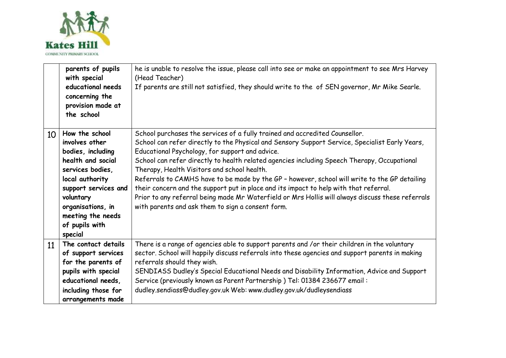

|    | parents of pupils<br>with special<br>educational needs<br>concerning the<br>provision made at<br>the school                                                                                                                   | he is unable to resolve the issue, please call into see or make an appointment to see Mrs Harvey<br>(Head Teacher)<br>If parents are still not satisfied, they should write to the of SEN governor, Mr Mike Searle.                                                                                                                                                                                                                                                                                                                                                                                                                                                                                                               |
|----|-------------------------------------------------------------------------------------------------------------------------------------------------------------------------------------------------------------------------------|-----------------------------------------------------------------------------------------------------------------------------------------------------------------------------------------------------------------------------------------------------------------------------------------------------------------------------------------------------------------------------------------------------------------------------------------------------------------------------------------------------------------------------------------------------------------------------------------------------------------------------------------------------------------------------------------------------------------------------------|
| 10 | How the school<br>involves other<br>bodies, including<br>health and social<br>services bodies,<br>local authority<br>support services and<br>voluntary<br>organisations, in<br>meeting the needs<br>of pupils with<br>special | School purchases the services of a fully trained and accredited Counsellor.<br>School can refer directly to the Physical and Sensory Support Service, Specialist Early Years,<br>Educational Psychology, for support and advice.<br>School can refer directly to health related agencies including Speech Therapy, Occupational<br>Therapy, Health Visitors and school health.<br>Referrals to CAMHS have to be made by the GP - however, school will write to the GP detailing<br>their concern and the support put in place and its impact to help with that referral.<br>Prior to any referral being made Mr Waterfield or Mrs Hollis will always discuss these referrals<br>with parents and ask them to sign a consent form. |
| 11 | The contact details<br>of support services<br>for the parents of<br>pupils with special<br>educational needs,<br>including those for<br>arrangements made                                                                     | There is a range of agencies able to support parents and /or their children in the voluntary<br>sector. School will happily discuss referrals into these agencies and support parents in making<br>referrals should they wish.<br>SENDIASS Dudley's Special Educational Needs and Disability Information, Advice and Support<br>Service (previously known as Parent Partnership) Tel: 01384 236677 email:<br>dudley.sendiass@dudley.gov.uk Web: www.dudley.gov.uk/dudleysendiass                                                                                                                                                                                                                                                  |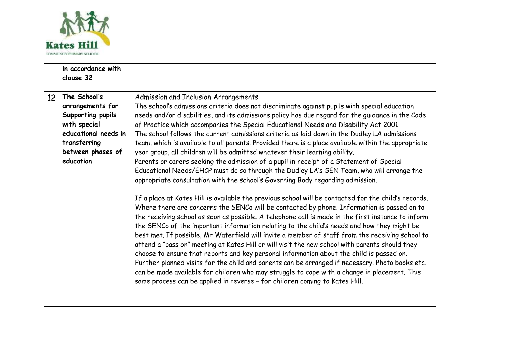

|    | in accordance with<br>clause 32                                                                                                                 |                                                                                                                                                                                                                                                                                                                                                                                                                                                                                                                                                                                                                                                                                                                                                                                                                                                                                                                                                                                                                                                                                                                                                                                                                                                                                                                                                                                                                                                                                                                                                                                                                                                                                                                                                                                                                                                                                            |
|----|-------------------------------------------------------------------------------------------------------------------------------------------------|--------------------------------------------------------------------------------------------------------------------------------------------------------------------------------------------------------------------------------------------------------------------------------------------------------------------------------------------------------------------------------------------------------------------------------------------------------------------------------------------------------------------------------------------------------------------------------------------------------------------------------------------------------------------------------------------------------------------------------------------------------------------------------------------------------------------------------------------------------------------------------------------------------------------------------------------------------------------------------------------------------------------------------------------------------------------------------------------------------------------------------------------------------------------------------------------------------------------------------------------------------------------------------------------------------------------------------------------------------------------------------------------------------------------------------------------------------------------------------------------------------------------------------------------------------------------------------------------------------------------------------------------------------------------------------------------------------------------------------------------------------------------------------------------------------------------------------------------------------------------------------------------|
| 12 | The School's<br>arrangements for<br>Supporting pupils<br>with special<br>educational needs in<br>transferring<br>between phases of<br>education | Admission and Inclusion Arrangements<br>The school's admissions criteria does not discriminate against pupils with special education<br>needs and/or disabilities, and its admissions policy has due regard for the guidance in the Code<br>of Practice which accompanies the Special Educational Needs and Disability Act 2001.<br>The school follows the current admissions criteria as laid down in the Dudley LA admissions<br>team, which is available to all parents. Provided there is a place available within the appropriate<br>year group, all children will be admitted whatever their learning ability.<br>Parents or carers seeking the admission of a pupil in receipt of a Statement of Special<br>Educational Needs/EHCP must do so through the Dudley LA's SEN Team, who will arrange the<br>appropriate consultation with the school's Governing Body regarding admission.<br>If a place at Kates Hill is available the previous school will be contacted for the child's records.<br>Where there are concerns the SENCo will be contacted by phone. Information is passed on to<br>the receiving school as soon as possible. A telephone call is made in the first instance to inform<br>the SENCo of the important information relating to the child's needs and how they might be<br>best met. If possible, Mr Waterfield will invite a member of staff from the receiving school to<br>attend a "pass on" meeting at Kates Hill or will visit the new school with parents should they<br>choose to ensure that reports and key personal information about the child is passed on.<br>Further planned visits for the child and parents can be arranged if necessary. Photo books etc.<br>can be made available for children who may struggle to cope with a change in placement. This<br>same process can be applied in reverse - for children coming to Kates Hill. |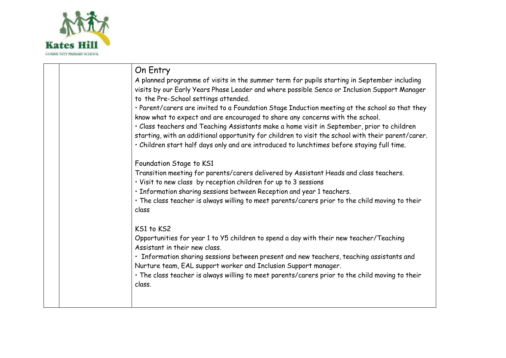

| On Entry                                                                                                                                                                                                                                                                                       |
|------------------------------------------------------------------------------------------------------------------------------------------------------------------------------------------------------------------------------------------------------------------------------------------------|
| A planned programme of visits in the summer term for pupils starting in September including<br>visits by our Early Years Phase Leader and where possible Senco or Inclusion Support Manager<br>to the Pre-School settings attended.                                                            |
| · Parent/carers are invited to a Foundation Stage Induction meeting at the school so that they<br>know what to expect and are encouraged to share any concerns with the school.                                                                                                                |
| · Class teachers and Teaching Assistants make a home visit in September, prior to children<br>starting, with an additional opportunity for children to visit the school with their parent/carer.<br>. Children start half days only and are introduced to lunchtimes before staying full time. |
| Foundation Stage to KS1                                                                                                                                                                                                                                                                        |
| Transition meeting for parents/carers delivered by Assistant Heads and class teachers.<br>· Visit to new class by reception children for up to 3 sessions                                                                                                                                      |
| · Information sharing sessions between Reception and year 1 teachers.                                                                                                                                                                                                                          |
| . The class teacher is always willing to meet parents/carers prior to the child moving to their<br>class                                                                                                                                                                                       |
| KS1 to KS2                                                                                                                                                                                                                                                                                     |
| Opportunities for year 1 to Y5 children to spend a day with their new teacher/Teaching<br>Assistant in their new class.                                                                                                                                                                        |
| · Information sharing sessions between present and new teachers, teaching assistants and<br>Nurture team, EAL support worker and Inclusion Support manager.                                                                                                                                    |
| . The class teacher is always willing to meet parents/carers prior to the child moving to their<br>class.                                                                                                                                                                                      |
|                                                                                                                                                                                                                                                                                                |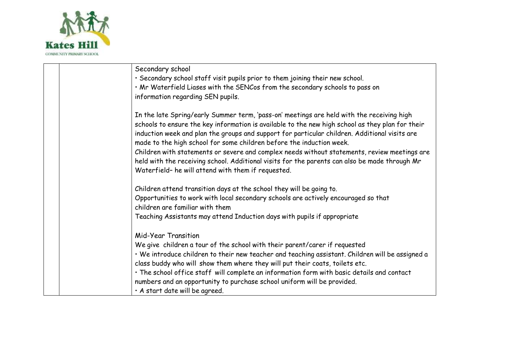

| Secondary school                                                                                                                                                                                                                                                                                                                                                                                                                                                                                                                                                                                                              |
|-------------------------------------------------------------------------------------------------------------------------------------------------------------------------------------------------------------------------------------------------------------------------------------------------------------------------------------------------------------------------------------------------------------------------------------------------------------------------------------------------------------------------------------------------------------------------------------------------------------------------------|
| · Secondary school staff visit pupils prior to them joining their new school.                                                                                                                                                                                                                                                                                                                                                                                                                                                                                                                                                 |
| . Mr Waterfield Liases with the SENCos from the secondary schools to pass on                                                                                                                                                                                                                                                                                                                                                                                                                                                                                                                                                  |
| information regarding SEN pupils.                                                                                                                                                                                                                                                                                                                                                                                                                                                                                                                                                                                             |
| In the late Spring/early Summer term, 'pass-on' meetings are held with the receiving high<br>schools to ensure the key information is available to the new high school as they plan for their<br>induction week and plan the groups and support for particular children. Additional visits are<br>made to the high school for some children before the induction week.<br>Children with statements or severe and complex needs without statements, review meetings are<br>held with the receiving school. Additional visits for the parents can also be made through Mr<br>Waterfield- he will attend with them if requested. |
| Children attend transition days at the school they will be going to.                                                                                                                                                                                                                                                                                                                                                                                                                                                                                                                                                          |
| Opportunities to work with local secondary schools are actively encouraged so that<br>children are familiar with them                                                                                                                                                                                                                                                                                                                                                                                                                                                                                                         |
| Teaching Assistants may attend Induction days with pupils if appropriate                                                                                                                                                                                                                                                                                                                                                                                                                                                                                                                                                      |
| Mid-Year Transition<br>We give children a tour of the school with their parent/carer if requested<br>. We introduce children to their new teacher and teaching assistant. Children will be assigned a<br>class buddy who will show them where they will put their coats, toilets etc.<br>· The school office staff will complete an information form with basic details and contact<br>numbers and an opportunity to purchase school uniform will be provided.<br>· A start date will be agreed.                                                                                                                              |